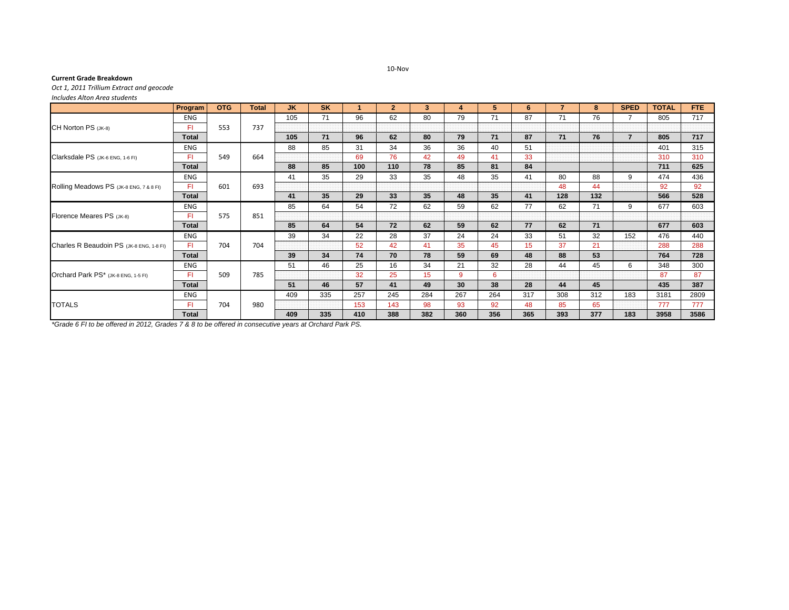## 10‐Nov

## **Current Grade Breakdown**

*Oct 1, 2011 Trillium Extract and geocode*

*Includes Alton Area students*

|                                          | Program      | <b>OTG</b> | <b>Total</b> | <b>JK</b> | <b>SK</b> |     | $\overline{2}$ | $\mathbf{3}$ | 4   | 5.  | 6   | 7   | 8   | <b>SPED</b>    | <b>TOTAL</b> | FTE. |
|------------------------------------------|--------------|------------|--------------|-----------|-----------|-----|----------------|--------------|-----|-----|-----|-----|-----|----------------|--------------|------|
| CH Norton PS (JK-8)                      | <b>ENG</b>   | 553        | 737          | 105       | 71        | 96  | 62             | 80           | 79  | 71  | 87  | 71  | 76  |                | 805          | 717  |
|                                          | FI.          |            |              |           |           |     |                |              |     |     |     |     |     |                |              |      |
|                                          | <b>Total</b> |            |              | 105       | 71        | 96  | 62             | 80           | 79  | 71  | 87  | 71  | 76  | $\overline{7}$ | 805          | 717  |
| Clarksdale PS (JK-6 ENG, 1-6 FI)         | <b>ENG</b>   | 549        | 664          | 88        | 85        | 31  | 34             | 36           | 36  | 40  | 51  |     |     |                | 401          | 315  |
|                                          | FI.          |            |              |           |           | 69  | 76             | 42           | 49  | 41  | 33  |     |     |                | 310          | 310  |
|                                          | <b>Total</b> |            |              | 88        | 85        | 100 | 110            | 78           | 85  | 81  | 84  |     |     |                | 711          | 625  |
| Rolling Meadows PS (JK-8 ENG, 7 & 8 FI)  | <b>ENG</b>   | 601        | 693          | 41        | 35        | 29  | 33             | 35           | 48  | 35  | 41  | 80  | 88  | 9              | 474          | 436  |
|                                          | FI.          |            |              |           |           |     |                |              |     |     |     | 48  | 44  |                | 92           | 92   |
|                                          | <b>Total</b> |            |              | 41        | 35        | 29  | 33             | 35           | 48  | 35  | 41  | 128 | 132 |                | 566          | 528  |
| Florence Meares PS (JK-8)                | <b>ENG</b>   | 575        | 851          | 85        | 64        | 54  | 72             | 62           | 59  | 62  | 77  | 62  | 71  | 9              | 677          | 603  |
|                                          | FI.          |            |              |           |           |     |                |              |     |     |     |     |     |                |              |      |
|                                          | <b>Total</b> |            |              | 85        | 64        | 54  | 72             | 62           | 59  | 62  | 77  | 62  | 71  |                | 677          | 603  |
| Charles R Beaudoin PS (JK-8 ENG, 1-8 FI) | ENG          | 704        | 704          | 39        | 34        | 22  | 28             | 37           | 24  | 24  | 33  | 51  | 32  | 152            | 476          | 440  |
|                                          | FI.          |            |              |           |           | 52  | 42             | 41           | 35  | 45  | 15  | 37  | 21  |                | 288          | 288  |
|                                          | <b>Total</b> |            |              | 39        | 34        | 74  | 70             | 78           | 59  | 69  | 48  | 88  | 53  |                | 764          | 728  |
| Orchard Park PS* (JK-8 ENG, 1-5 FI)      | ENG          | 509        | 785          | 51        | 46        | 25  | 16             | 34           | 21  | 32  | 28  | 44  | 45  | 6              | 348          | 300  |
|                                          | FI.          |            |              |           |           | 32  | 25             | 15           | 9   | 6   |     |     |     |                | 87           | 87   |
|                                          | <b>Total</b> |            |              | 51        | 46        | 57  | 41             | 49           | 30  | 38  | 28  | 44  | 45  |                | 435          | 387  |
| <b>TOTALS</b>                            | <b>ENG</b>   | 704        | 980          | 409       | 335       | 257 | 245            | 284          | 267 | 264 | 317 | 308 | 312 | 183            | 3181         | 2809 |
|                                          | FI.          |            |              |           |           | 153 | 143            | 98           | 93  | 92  | 48  | 85  | 65  |                | 777          | 777  |
|                                          | <b>Total</b> |            |              | 409       | 335       | 410 | 388            | 382          | 360 | 356 | 365 | 393 | 377 | 183            | 3958         | 3586 |

*\*Grade 6 FI to be offered in 2012, Grades 7 & 8 to be offered in consecutive years at Orchard Park PS.*